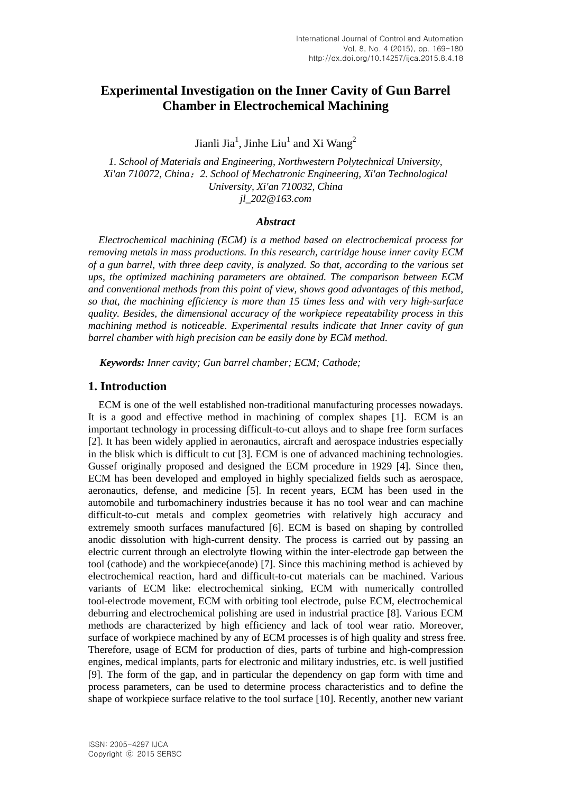# **Experimental Investigation on the Inner Cavity of Gun Barrel Chamber in Electrochemical Machining**

Jianli Jia<sup>1</sup>, Jinhe Liu<sup>1</sup> and Xi Wang<sup>2</sup>

*1. School of Materials and Engineering, Northwestern Polytechnical University, Xi'an 710072, China*;*2. School of Mechatronic Engineering, Xi'an Technological University, Xi'an 710032, China jl\_202@163.com*

#### *Abstract*

*Electrochemical machining (ECM) is a method based on electrochemical process for removing metals in mass productions. In this research, cartridge house inner cavity ECM of a gun barrel, with three deep cavity, is analyzed. So that, according to the various set ups, the optimized machining parameters are obtained. The comparison between ECM and conventional methods from this point of view, shows good advantages of this method, so that, the machining efficiency is more than 15 times less and with very high-surface quality. Besides, the dimensional accuracy of the workpiece repeatability process in this machining method is noticeable. Experimental results indicate that Inner cavity of gun barrel chamber with high precision can be easily done by ECM method.*

*Keywords: Inner cavity; Gun barrel chamber; ECM; Cathode;*

### **1. Introduction**

ECM is one of the well established non-traditional manufacturing processes nowadays. It is a good and effective method in machining of complex shapes [1]. ECM is an important technology in processing difficult-to-cut alloys and to shape free form surfaces [2]. It has been widely applied in aeronautics, aircraft and aerospace industries especially in the blisk which is difficult to cut [3]. ECM is one of advanced machining technologies. Gussef originally proposed and designed the ECM procedure in 1929 [4]. Since then, ECM has been developed and employed in highly specialized fields such as aerospace, aeronautics, defense, and medicine [5]. In recent years, ECM has been used in the automobile and turbomachinery industries because it has no tool wear and can machine difficult-to-cut metals and complex geometries with relatively high accuracy and extremely smooth surfaces manufactured [6]. ECM is based on shaping by controlled anodic dissolution with high-current density. The process is carried out by passing an electric current through an electrolyte flowing within the inter-electrode gap between the tool (cathode) and the workpiece(anode) [7]. Since this machining method is achieved by electrochemical reaction, hard and difficult-to-cut materials can be machined. Various variants of ECM like: electrochemical sinking, ECM with numerically controlled tool-electrode movement, ECM with orbiting tool electrode, pulse ECM, electrochemical deburring and electrochemical polishing are used in industrial practice [8]. Various ECM methods are characterized by high efficiency and lack of tool wear ratio. Moreover, surface of workpiece machined by any of ECM processes is of high quality and stress free. Therefore, usage of ECM for production of dies, parts of turbine and high-compression engines, medical implants, parts for electronic and military industries, etc. is well justified [9]. The form of the gap, and in particular the dependency on gap form with time and process parameters, can be used to determine process characteristics and to define the shape of workpiece surface relative to the tool surface [10]. Recently, another new variant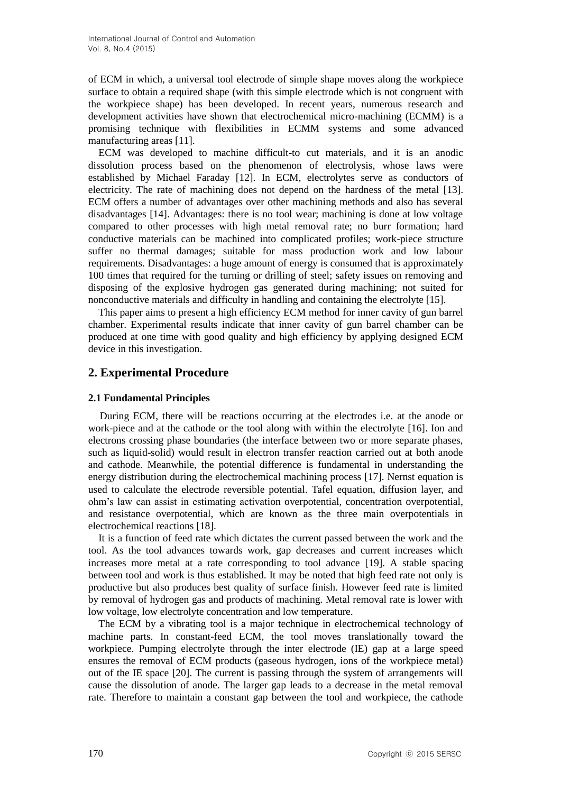of ECM in which, a universal tool electrode of simple shape moves along the workpiece surface to obtain a required shape (with this simple electrode which is not congruent with the workpiece shape) has been developed. In recent years, numerous research and development activities have shown that electrochemical micro-machining (ECMM) is a promising technique with flexibilities in ECMM systems and some advanced manufacturing areas [11].

ECM was developed to machine difficult-to cut materials, and it is an anodic dissolution process based on the phenomenon of electrolysis, whose laws were established by Michael Faraday [12]. In ECM, electrolytes serve as conductors of electricity. The rate of machining does not depend on the hardness of the metal [13]. ECM offers a number of advantages over other machining methods and also has several disadvantages [14]. Advantages: there is no tool wear; machining is done at low voltage compared to other processes with high metal removal rate; no burr formation; hard conductive materials can be machined into complicated profiles; work-piece structure suffer no thermal damages; suitable for mass production work and low labour requirements. Disadvantages: a huge amount of energy is consumed that is approximately 100 times that required for the turning or drilling of steel; safety issues on removing and disposing of the explosive hydrogen gas generated during machining; not suited for nonconductive materials and difficulty in handling and containing the electrolyte [15].

This paper aims to present a high efficiency ECM method for inner cavity of gun barrel chamber. Experimental results indicate that inner cavity of gun barrel chamber can be produced at one time with good quality and high efficiency by applying designed ECM device in this investigation.

## **2. Experimental Procedure**

### **2.1 Fundamental Principles**

During ECM, there will be reactions occurring at the electrodes i.e. at the anode or work-piece and at the cathode or the tool along with within the electrolyte [16]. Ion and electrons crossing phase boundaries (the interface between two or more separate phases, such as liquid-solid) would result in electron transfer reaction carried out at both anode and cathode. Meanwhile, the potential difference is fundamental in understanding the energy distribution during the electrochemical machining process [17]. Nernst equation is used to calculate the electrode reversible potential. Tafel equation, diffusion layer, and ohm's law can assist in estimating activation overpotential, concentration overpotential, and resistance overpotential, which are known as the three main overpotentials in electrochemical reactions [18].

It is a function of feed rate which dictates the current passed between the work and the tool. As the tool advances towards work, gap decreases and current increases which increases more metal at a rate corresponding to tool advance [19]. A stable spacing between tool and work is thus established. It may be noted that high feed rate not only is productive but also produces best quality of surface finish. However feed rate is limited by removal of hydrogen gas and products of machining. Metal removal rate is lower with low voltage, low electrolyte concentration and low temperature.

The ECM by a vibrating tool is a major technique in electrochemical technology of machine parts. In constant-feed ECM, the tool moves translationally toward the workpiece. Pumping electrolyte through the inter electrode (IE) gap at a large speed ensures the removal of ECM products (gaseous hydrogen, ions of the workpiece metal) out of the IE space [20]. The current is passing through the system of arrangements will cause the dissolution of anode. The larger gap leads to a decrease in the metal removal rate. Therefore to maintain a constant gap between the tool and workpiece, the cathode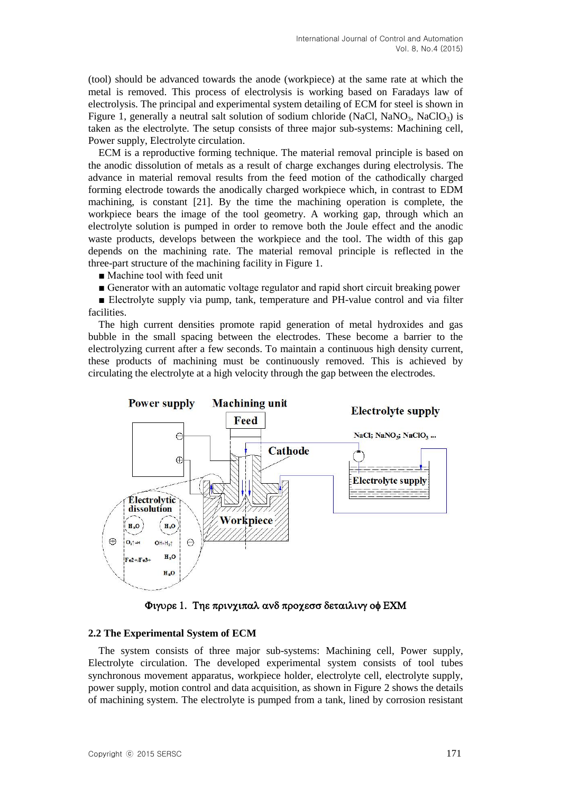(tool) should be advanced towards the anode (workpiece) at the same rate at which the metal is removed. This process of electrolysis is working based on Faradays law of electrolysis. The principal and experimental system detailing of ECM for steel is shown in Figure 1, generally a neutral salt solution of sodium chloride (NaCl, NaNO<sub>3</sub>, NaClO<sub>3</sub>) is taken as the electrolyte. The setup consists of three major sub-systems: Machining cell, Power supply, Electrolyte circulation.

ECM is a reproductive forming technique. The material removal principle is based on the anodic dissolution of metals as a result of charge exchanges during electrolysis. The advance in material removal results from the feed motion of the cathodically charged forming electrode towards the anodically charged workpiece which, in contrast to EDM machining, is constant [21]. By the time the machining operation is complete, the workpiece bears the image of the tool geometry. A working gap, through which an electrolyte solution is pumped in order to remove both the Joule effect and the anodic waste products, develops between the workpiece and the tool. The width of this gap depends on the machining rate. The material removal principle is reflected in the three-part structure of the machining facility in Figure 1.

■ Machine tool with feed unit

■ Generator with an automatic voltage regulator and rapid short circuit breaking power

■ Electrolyte supply via pump, tank, temperature and PH-value control and via filter facilities.

The high current densities promote rapid generation of metal hydroxides and gas bubble in the small spacing between the electrodes. These become a barrier to the electrolyzing current after a few seconds. To maintain a continuous high density current, these products of machining must be continuously removed. This is achieved by circulating the electrolyte at a high velocity through the gap between the electrodes.



Φιγυρε 1. Τηε πρινχιπαλ ανδ προχεσσ δεταιλινγ οφ ΕΧΜ

#### **2.2 The Experimental System of ECM**

The system consists of three major sub-systems: Machining cell, Power supply, Electrolyte circulation. The developed experimental system consists of tool tubes synchronous movement apparatus, workpiece holder, electrolyte cell, electrolyte supply, power supply, motion control and data acquisition, as shown in Figure 2 shows the details of machining system. The electrolyte is pumped from a tank, lined by corrosion resistant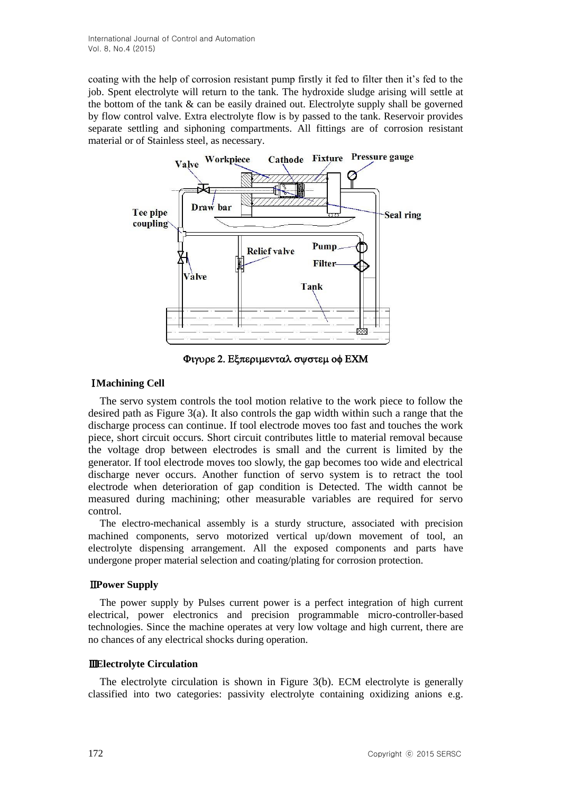coating with the help of corrosion resistant pump firstly it fed to filter then it's fed to the job. Spent electrolyte will return to the tank. The hydroxide sludge arising will settle at the bottom of the tank & can be easily drained out. Electrolyte supply shall be governed by flow control valve. Extra electrolyte flow is by passed to the tank. Reservoir provides separate settling and siphoning compartments. All fittings are of corrosion resistant material or of Stainless steel, as necessary.



Φιγυρε 2. Εξπεριμενταλ συστεμ οφ ΕΧΜ

# Ⅰ**Machining Cell**

The servo system controls the tool motion relative to the work piece to follow the desired path as Figure 3(a). It also controls the gap width within such a range that the discharge process can continue. If tool electrode moves too fast and touches the work piece, short circuit occurs. Short circuit contributes little to material removal because the voltage drop between electrodes is small and the current is limited by the generator. If tool electrode moves too slowly, the gap becomes too wide and electrical discharge never occurs. Another function of servo system is to retract the tool electrode when deterioration of gap condition is Detected. The width cannot be measured during machining; other measurable variables are required for servo control.

The electro-mechanical assembly is a sturdy structure, associated with precision machined components, servo motorized vertical up/down movement of tool, an electrolyte dispensing arrangement. All the exposed components and parts have undergone proper material selection and coating/plating for corrosion protection.

## Ⅱ**Power Supply**

The power supply by Pulses current power is a perfect integration of high current electrical, power electronics and precision programmable micro-controller-based technologies. Since the machine operates at very low voltage and high current, there are no chances of any electrical shocks during operation.

## Ⅲ**Electrolyte Circulation**

The electrolyte circulation is shown in Figure 3(b). ECM electrolyte is generally classified into two categories: passivity electrolyte containing oxidizing anions e.g.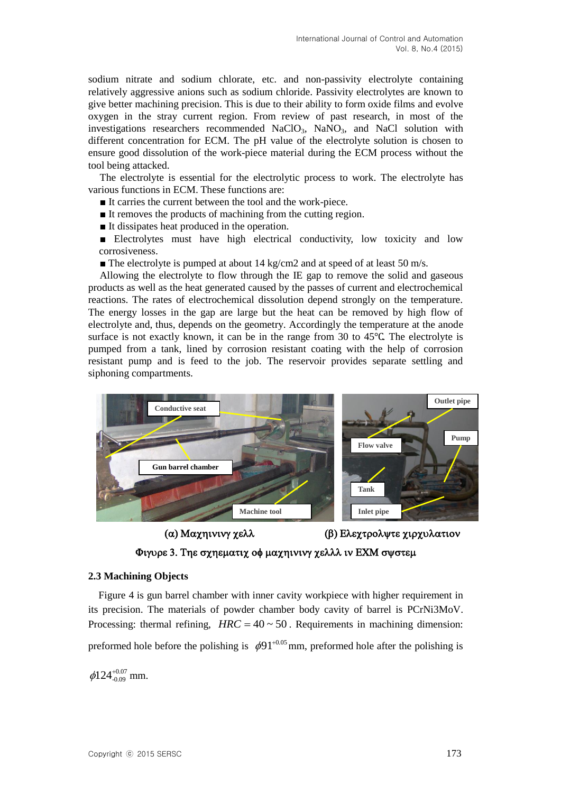sodium nitrate and sodium chlorate, etc. and non-passivity electrolyte containing relatively aggressive anions such as sodium chloride. Passivity electrolytes are known to give better machining precision. This is due to their ability to form oxide films and evolve oxygen in the stray current region. From review of past research, in most of the investigations researchers recommended  $NaClO<sub>3</sub>$ ,  $NaNO<sub>3</sub>$ , and  $NaCl$  solution with different concentration for ECM. The pH value of the electrolyte solution is chosen to ensure good dissolution of the work-piece material during the ECM process without the tool being attacked.

The electrolyte is essential for the electrolytic process to work. The electrolyte has various functions in ECM. These functions are:

- It carries the current between the tool and the work-piece.
- It removes the products of machining from the cutting region.
- It dissipates heat produced in the operation.
- Electrolytes must have high electrical conductivity, low toxicity and low corrosiveness.

 $\blacksquare$  The electrolyte is pumped at about 14 kg/cm2 and at speed of at least 50 m/s.

Allowing the electrolyte to flow through the IE gap to remove the solid and gaseous products as well as the heat generated caused by the passes of current and electrochemical reactions. The rates of electrochemical dissolution depend strongly on the temperature. The energy losses in the gap are large but the heat can be removed by high flow of electrolyte and, thus, depends on the geometry. Accordingly the temperature at the anode surface is not exactly known, it can be in the range from 30 to 45℃. The electrolyte is pumped from a tank, lined by corrosion resistant coating with the help of corrosion resistant pump and is feed to the job. The reservoir provides separate settling and siphoning compartments.



(α) Μαχηινινγ χελλ (β) Ελεχτρολψτε χιρχυλατιον

Φιγυρε 3. Τηε σχηεματιχ οφ μαχηινινγ χελλλ ιν ΕΧΜ σψστεμ

#### **2.3 Machining Objects**

Figure 4 is gun barrel chamber with inner cavity workpiece with higher requirement in its precision. The materials of powder chamber body cavity of barrel is PCrNi3MoV. Processing: thermal refining,  $HRC = 40 \sim 50$ . Requirements in machining dimension: preformed hole before the polishing is  $\phi$ 91<sup>+0.05</sup> mm, preformed hole after the polishing is

 $\phi$ 124<sup>+0.07</sup> mm.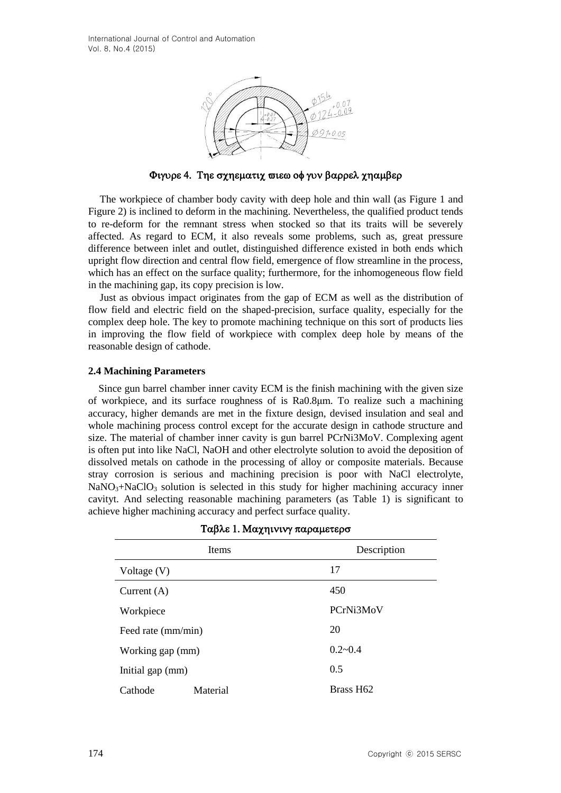International Journal of Control and Automation Vol. 8, No.4 (2015)



Φιγυρε 4. Τηε σχηεματιχ σιεω οφ γυν βαρρελ χηαμβερ

The workpiece of chamber body cavity with deep hole and thin wall (as Figure 1 and Figure 2) is inclined to deform in the machining. Nevertheless, the qualified product tends to re-deform for the remnant stress when stocked so that its traits will be severely affected. As regard to ECM, it also reveals some problems, such as, great pressure difference between inlet and outlet, distinguished difference existed in both ends which upright flow direction and central flow field, emergence of flow streamline in the process, which has an effect on the surface quality; furthermore, for the inhomogeneous flow field in the machining gap, its copy precision is low.

Just as obvious impact originates from the gap of ECM as well as the distribution of flow field and electric field on the shaped-precision, surface quality, especially for the complex deep hole. The key to promote machining technique on this sort of products lies in improving the flow field of workpiece with complex deep hole by means of the reasonable design of cathode.

#### **2.4 Machining Parameters**

Since gun barrel chamber inner cavity ECM is the finish machining with the given size of workpiece, and its surface roughness of is Ra0.8μm. To realize such a machining accuracy, higher demands are met in the fixture design, devised insulation and seal and whole machining process control except for the accurate design in cathode structure and size. The material of chamber inner cavity is gun barrel PCrNi3MoV. Complexing agent is often put into like NaCl, NaOH and other electrolyte solution to avoid the deposition of dissolved metals on cathode in the processing of alloy or composite materials. Because stray corrosion is serious and machining precision is poor with NaCl electrolyte,  $NaNO<sub>3</sub>+NaClO<sub>3</sub>$  solution is selected in this study for higher machining accuracy inner cavityt. And selecting reasonable machining parameters (as Table 1) is significant to achieve higher machining accuracy and perfect surface quality.

| <b>Items</b>        |             | Description |  |
|---------------------|-------------|-------------|--|
| Voltage (V)         | 17          |             |  |
| Current $(A)$       | 450         |             |  |
| Workpiece           | PCrNi3MoV   |             |  |
| Feed rate (mm/min)  | 20          |             |  |
| Working gap (mm)    | $0.2 - 0.4$ |             |  |
| Initial gap (mm)    | 0.5         |             |  |
| Material<br>Cathode | Brass H62   |             |  |

|  |  |  | Ταβλε 1. Μαχηινινγ παραμετερσ |
|--|--|--|-------------------------------|
|--|--|--|-------------------------------|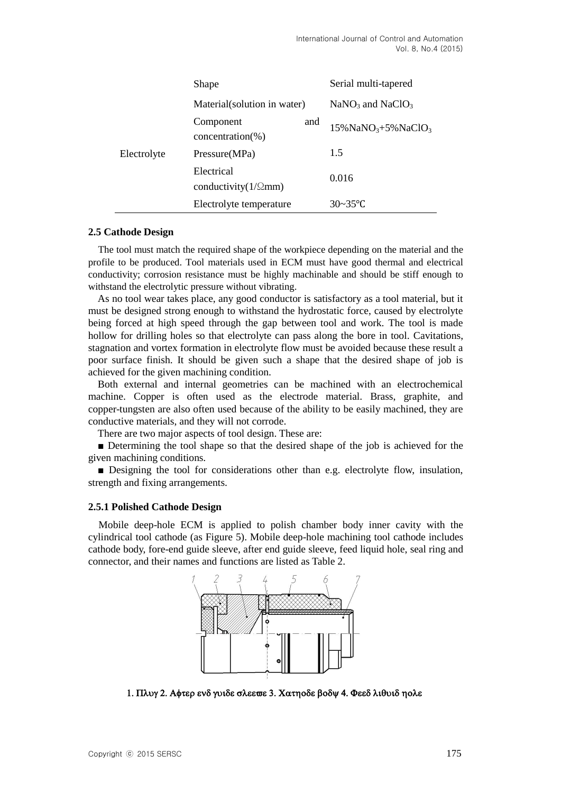|             | Shape                                      |     | Serial multi-tapered                           |
|-------------|--------------------------------------------|-----|------------------------------------------------|
|             | Material(solution in water)                |     | $NaNO3$ and $NaClO3$                           |
|             | Component<br>$concentration(\% )$          | and | $15\%$ NaNO <sub>3</sub> +5%NaClO <sub>3</sub> |
| Electrolyte | Pressure(MPa)                              |     | 1.5                                            |
|             | Electrical<br>conductivity( $1/\Omega$ mm) |     | 0.016                                          |
|             | Electrolyte temperature                    |     | $30 - 35$ °C                                   |

#### **2.5 Cathode Design**

The tool must match the required shape of the workpiece depending on the material and the profile to be produced. Tool materials used in ECM must have good thermal and electrical conductivity; corrosion resistance must be highly machinable and should be stiff enough to withstand the electrolytic pressure without vibrating.

As no tool wear takes place, any good conductor is satisfactory as a tool material, but it must be designed strong enough to withstand the hydrostatic force, caused by electrolyte being forced at high speed through the gap between tool and work. The tool is made hollow for drilling holes so that electrolyte can pass along the bore in tool. Cavitations, stagnation and vortex formation in electrolyte flow must be avoided because these result a poor surface finish. It should be given such a shape that the desired shape of job is achieved for the given machining condition.

Both external and internal geometries can be machined with an electrochemical machine. Copper is often used as the electrode material. Brass, graphite, and copper-tungsten are also often used because of the ability to be easily machined, they are conductive materials, and they will not corrode.

There are two major aspects of tool design. These are:

■ Determining the tool shape so that the desired shape of the job is achieved for the given machining conditions.

■ Designing the tool for considerations other than e.g. electrolyte flow, insulation, strength and fixing arrangements.

#### **2.5.1 Polished Cathode Design**

Mobile deep-hole ECM is applied to polish chamber body inner cavity with the cylindrical tool cathode (as Figure 5). Mobile deep-hole machining tool cathode includes cathode body, fore-end guide sleeve, after end guide sleeve, feed liquid hole, seal ring and connector, and their names and functions are listed as Table 2.



1. Πλυγ 2. Αφτερ ενδ γυιδε σλεεπε 3. Χατηοδε βοδψ 4. Φεεδ λιθυιδ ηολε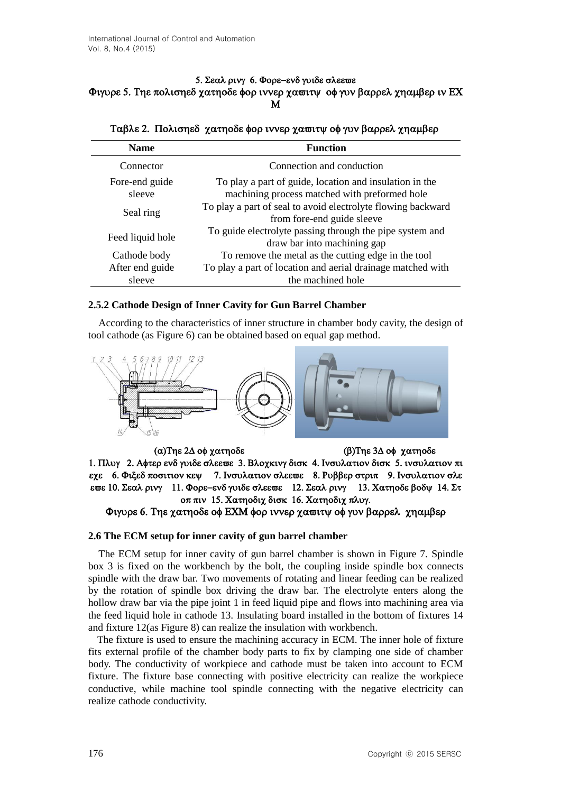#### 5. Σεαλ ρινγ 6. Φορε-ενδ γυιδε σλεεωε Φιγυρε 5. Τηε πολισηεδ γατηοδε φορ ιννερ γασιτψ οφ γυν βαρρελ γηαμβερ ιν ΕΧ M

| <b>Name</b>              | <b>Function</b>                                                                                          |  |  |
|--------------------------|----------------------------------------------------------------------------------------------------------|--|--|
| Connector                | Connection and conduction                                                                                |  |  |
| Fore-end guide<br>sleeve | To play a part of guide, location and insulation in the<br>machining process matched with preformed hole |  |  |
| Seal ring                | To play a part of seal to avoid electrolyte flowing backward<br>from fore-end guide sleeve               |  |  |
| Feed liquid hole         | To guide electrolyte passing through the pipe system and<br>draw bar into machining gap                  |  |  |
| Cathode body             | To remove the metal as the cutting edge in the tool                                                      |  |  |
| After end guide          | To play a part of location and aerial drainage matched with                                              |  |  |
| sleeve                   | the machined hole                                                                                        |  |  |

## Ταβλε 2. Πολισηεδ χατηοδε φορ ιννερ χαπιτψ οφ γυν βαρρελ χηαμβερ

### **2.5.2 Cathode Design of Inner Cavity for Gun Barrel Chamber**

According to the characteristics of inner structure in chamber body cavity, the design of tool cathode (as Figure 6) can be obtained based on equal gap method.



(α) Της 2Δ οφ χατηοδε (β) Της 3Δ οφ χατηοδε 1. Πλυγ 2. Αφτερ ενδ γυιδε σλεεπε 3. Βλοχκινγ δισκ 4. Ινσυλατιον δισκ 5. ινσυλατιον πι εχε 6. Φιξεδ ποσιτιον κεψ 7. Ινσυλατιον σλεεωε 8. Ρυββερ στριπ 9. Ινσυλατιον σλε επε 10. Σεαλ ρινγ 11. Φορε-ενδ γυιδε σλεεπε 12. Σεαλ ρινγ 13. Χατηοδε βοδψ 14. Στ οπ πιν 15. Χατηοδιχ δισκ 16. Χατηοδιχ πλυγ. Φιγυρε 6. Τηε χατηοδε οφ ΕΧΜ φορ ιννερ χασιτψ οφ γυν βαρρελ χηαμβερ

#### **2.6 The ECM setup for inner cavity of gun barrel chamber**

The ECM setup for inner cavity of gun barrel chamber is shown in Figure 7. Spindle box 3 is fixed on the workbench by the bolt, the coupling inside spindle box connects spindle with the draw bar. Two movements of rotating and linear feeding can be realized by the rotation of spindle box driving the draw bar. The electrolyte enters along the hollow draw bar via the [pipe](app:ds:pipe) [joint](app:ds:joint) 1 in feed liquid pipe and flows into machining area via the feed liquid hole in cathode 13. Insulating board installed in the bottom of fixtures 14 and fixture 12(as Figure 8) can realize the insulation with workbench.

The fixture is used to ensure the machining accuracy in ECM. The inner hole of fixture fits external profile of the chamber body parts to fix by clamping one side of chamber body. The conductivity of workpiece and cathode must be taken into account to ECM fixture. The fixture base connecting with positive electricity can realize the workpiece conductive, while machine tool spindle connecting with the negative electricity can realize cathode conductivity.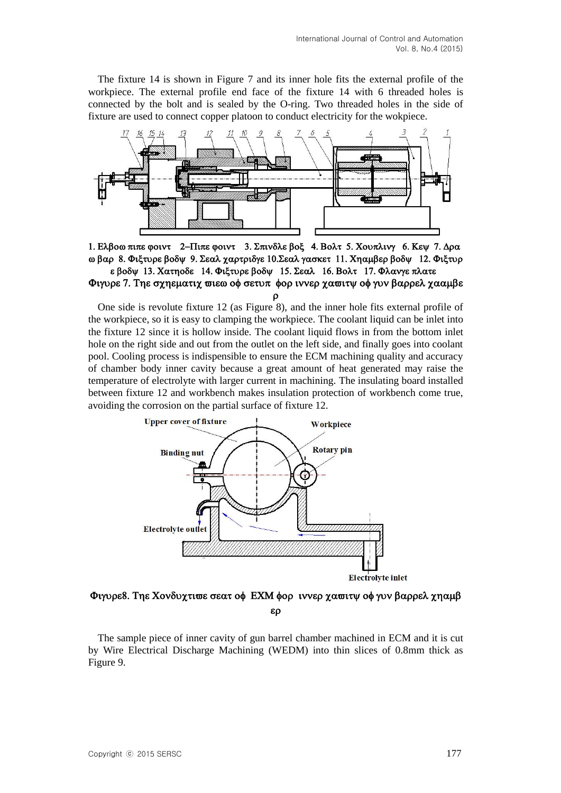The fixture 14 is shown in Figure 7 and its inner hole fits the external profile of the workpiece. The external profile end face of the fixture 14 with 6 threaded holes is connected by the bolt and is sealed by the O-ring. Two threaded holes in the side of fixture are used to connect copper platoon to conduct electricity for the wokpiece.



1. Ελβοω πιπε φοιντ 2-Πιπε φοιντ 3. Σπινδλε βοξ 4. Βολτ 5. Χουπλινγ 6. Κεψ 7. Δρα ω βαρ 8. Φιξτυρε βοδυ 9. Σεαλ γαρτριδγε 10. Σεαλ γασκετ 11. Χηαμβερ βοδυ 12. Φιξτυρ ε βοδψ 13. Χατηοδε 14. Φιξτυρε βοδψ 15. Σεαλ 16. Βολτ 17. Φλανγε πλατε Φιγυρε 7. Τηε σχηεματιχ σιεω οφ σετυπ φορ ιννερ χασιτψ οφ γυν βαρρελ χααμβε

 $\Omega$ 

One side is revolute fixture 12 (as Figure 8), and the inner hole fits external profile of the workpiece, so it is easy to clamping the workpiece. The coolant liquid can be inlet into the fixture 12 since it is hollow inside. The coolant liquid flows in from the bottom inlet hole on the right side and out from the outlet on the left side, and finally goes into coolant pool. Cooling process is indispensible to ensure the ECM machining quality and accuracy of chamber body inner cavity because a great amount of heat generated may raise the temperature of electrolyte with larger current in machining. The insulating board installed between fixture 12 and workbench makes insulation protection of workbench come true, avoiding the corrosion on the partial surface of fixture 12.



Φιγυρε8. Τηε Χονδυχτισε σεατ οφ ΕΧΜ φορ ιννερ χασιτψ οφ γυν βαρρελ χηαμβ  $\epsilon \rho$ 

The sample piece of inner cavity of gun barrel chamber machined in ECM and it is cut by Wire Electrical Discharge Machining (WEDM) into thin slices of 0.8mm thick as Figure 9.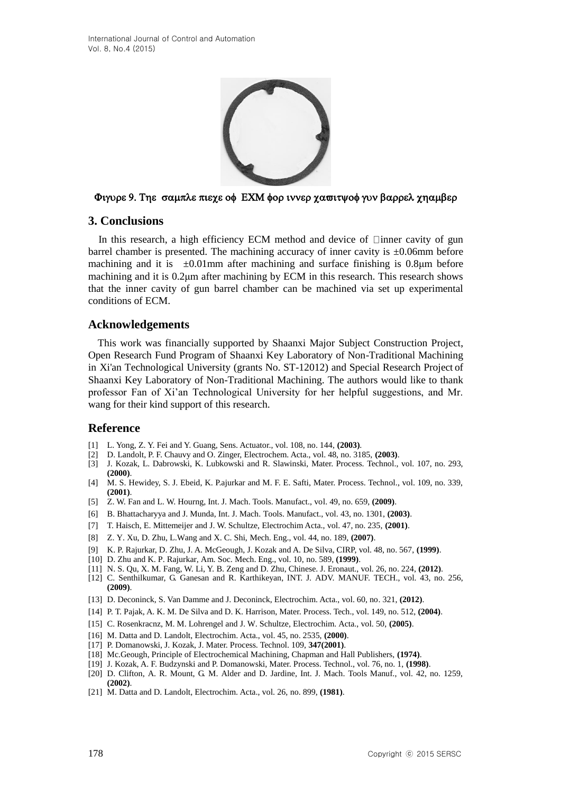

#### Φιγυρε 9. Τηε σαμπλε πιεχε οφ ΕΧΜ φορ ιννερ χασιτψοφ γυν βαρρελ χηαμβερ

## **3. Conclusions**

In this research, a high efficiency ECM method and device of  $\Box$ inner cavity of gun barrel chamber is presented. The machining accuracy of inner cavity is  $\pm 0.06$ mm before machining and it is  $\pm 0.01$ mm after machining and surface finishing is 0.8 km before machining and it is 0.2μm after machining by ECM in this research. This research shows that the inner cavity of gun barrel chamber can be machined via set up experimental conditions of ECM.

### **Acknowledgements**

This work was financially supported by Shaanxi Major Subject Construction Project, Open Research Fund Program of Shaanxi Key Laboratory of Non-Traditional Machining in Xi'an Technological University (grants No. ST-12012) and Special Research Project of Shaanxi Key Laboratory of Non-Traditional Machining. The authors would like to thank professor Fan of Xi'an Technological University for her helpful suggestions, and Mr. wang for their kind support of this research.

## **Reference**

- [1] L. Yong, Z. Y. Fei and Y. Guang, Sens. Actuator., vol. 108, no. 144, **(2003)**.
- [2] D. Landolt, P. F. Chauvy and O. Zinger, Electrochem. Acta., vol. 48, no. 3185, **(2003)**.
- [3] J. Kozak, L. Dabrowski, K. Lubkowski and R. Slawinski, Mater. Process. Technol., vol. 107, no. 293, **(2000)**.
- [4] M. S. Hewidey, S. J. Ebeid, K. P.ajurkar and M. F. E. Safti, Mater. Process. Technol., vol. 109, no. 339, **(2001)**.
- [5] Z. W. Fan and L. W. Hourng, Int. J. Mach. Tools. Manufact., vol. 49, no. 659, **(2009)**.
- [6] B. Bhattacharyya and J. Munda, Int. J. Mach. Tools. Manufact., vol. 43, no. 1301, **(2003)**.
- [7] T. Haisch, E. Mittemeijer and J. W. Schultze, Electrochim Acta., vol. 47, no. 235, **(2001)**.
- [8] Z. Y. Xu, D. Zhu, L.Wang and X. C. Shi, Mech. Eng., vol. 44, no. 189, **(2007)**.
- [9] K. P. Rajurkar, D. Zhu, J. A. McGeough, J. Kozak and A. De Silva, CIRP, vol. 48, no. 567, **(1999)**.
- [10] D. Zhu and K. P. Rajurkar, Am. Soc. Mech. Eng., vol. 10, no. 589, **(1999)**.
- [11] N. S. Qu, X. M. Fang, W. Li, Y. B. Zeng and D. Zhu, Chinese. J. Eronaut., vol. 26, no. 224, **(2012)**.
- [12] C. Senthilkumar, G. Ganesan and R. Karthikeyan, INT. J. ADV. MANUF. TECH., vol. 43, no. 256, **(2009)**.
- [13] D. Deconinck, S. Van Damme and J. Deconinck, Electrochim. Acta., vol. 60, no. 321, **(2012)**.
- [14] P. T. Pajak, A. K. M. De Silva and D. K. Harrison, Mater. Process. Tech., vol. 149, no. 512, **(2004)**.
- [15] C. Rosenkracnz, M. M. Lohrengel and J. W. Schultze, Electrochim. Acta., vol. 50, **(2005)**.
- [16] M. Datta and D. Landolt, Electrochim. Acta., vol. 45, no. 2535, **(2000)**.
- [17] P. Domanowski, J. Kozak, J. Mater. Process. Technol. 109, **347(2001)**.
- [18] Mc.Geough, Principle of Electrochemical Machining, Chapman and Hall Publishers, **(1974)**.
- [19] J. Kozak, A. F. Budzynski and P. Domanowski, Mater. Process. Technol., vol. 76, no. 1, **(1998)**.
- [20] D. Clifton, A. R. Mount, G. M. Alder and D. Jardine, Int. J. Mach. Tools Manuf., vol. 42, no. 1259, **(2002)**.
- [21] M. Datta and D. Landolt, Electrochim. Acta., vol. 26, no. 899, **(1981)**.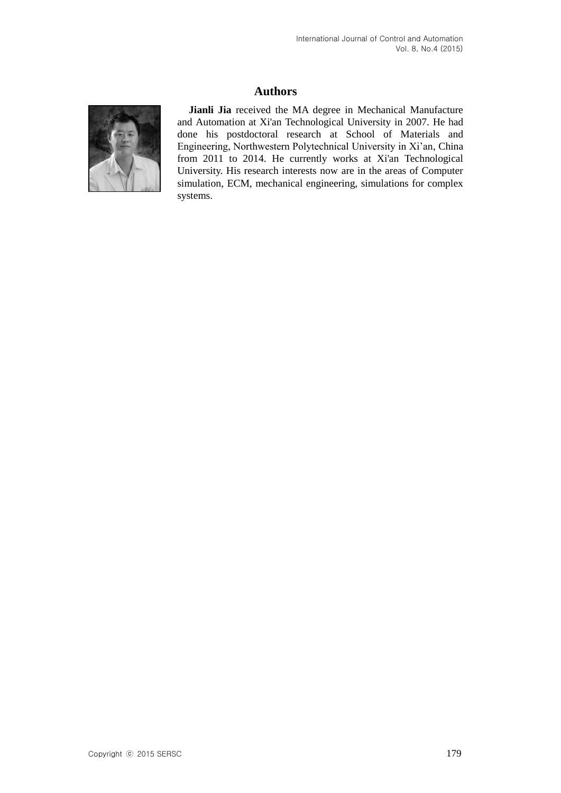# **Authors**



**Jianli Jia** received the MA degree in Mechanical Manufacture and Automation at Xi'an Technological University in 2007. He had done his postdoctoral research at School of Materials and Engineering, Northwestern Polytechnical University in Xi'an, China from 2011 to 2014. He currently works at Xi'an Technological University. His research interests now are in the areas of Computer simulation, ECM, [mechanical](app:ds:mechanical) [engineering,](app:ds:engineering) simulations for complex systems.